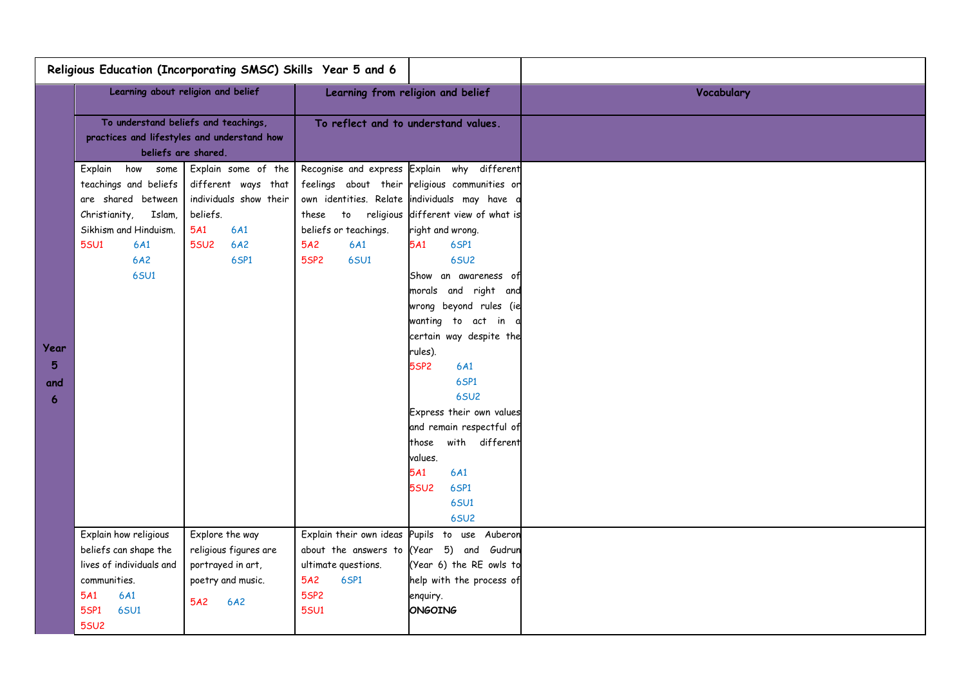|                                    | Religious Education (Incorporating SMSC) Skills Year 5 and 6                                                                                                       |                                                                                                                              |                                                                                                                           |                                                                                                                                                                                                                                                                                                                                                                                                                                                                                                                                                                                                |            |
|------------------------------------|--------------------------------------------------------------------------------------------------------------------------------------------------------------------|------------------------------------------------------------------------------------------------------------------------------|---------------------------------------------------------------------------------------------------------------------------|------------------------------------------------------------------------------------------------------------------------------------------------------------------------------------------------------------------------------------------------------------------------------------------------------------------------------------------------------------------------------------------------------------------------------------------------------------------------------------------------------------------------------------------------------------------------------------------------|------------|
|                                    | Learning about religion and belief                                                                                                                                 |                                                                                                                              |                                                                                                                           | Learning from religion and belief                                                                                                                                                                                                                                                                                                                                                                                                                                                                                                                                                              | Vocabulary |
|                                    | To understand beliefs and teachings,<br>practices and lifestyles and understand how<br>beliefs are shared.                                                         |                                                                                                                              | To reflect and to understand values.                                                                                      |                                                                                                                                                                                                                                                                                                                                                                                                                                                                                                                                                                                                |            |
| Year<br>$5\phantom{.}$<br>and<br>6 | Explain how<br>some<br>teachings and beliefs<br>are shared between<br>Christianity,<br>Islam,<br>Sikhism and Hinduism.<br><b>5SU1</b><br>6A1<br>6A2<br><b>6SU1</b> | Explain some of the<br>different ways that<br>individuals show their<br>beliefs.<br>5A1<br>6A1<br>6A2<br><b>5SU2</b><br>6SP1 | $\mathsf{to}$<br>these<br>beliefs or teachings.<br>6A1<br>5A2<br><b>6SU1</b><br><b>5SP2</b>                               | Recognise and express Explain why different<br>feelings about their religious communities or<br>own identities. Relate individuals may have a<br>religious different view of what is<br>right and wrong.<br>6SP1<br>5A1<br><b>6SU2</b><br>Show an awareness of<br>morals and right and<br>wrong beyond rules (ie<br>wanting to act in<br>certain way despite the<br>rules).<br><b>5SP2</b><br>6A1<br>6SP1<br><b>6SU2</b><br>Express their own values<br>and remain respectful of<br>with different<br>those<br>values.<br>5A1<br>6A1<br><b>5SU2</b><br>6SP1<br><b>6SU1</b><br>6SU <sub>2</sub> |            |
|                                    | Explain how religious<br>beliefs can shape the<br>lives of individuals and<br>communities.<br><b>5A1</b><br>6A1<br><b>5SP1</b><br><b>6SU1</b><br><b>5SU2</b>       | Explore the way<br>religious figures are<br>portrayed in art,<br>poetry and music.<br>5A2<br>6A2                             | Explain their own ideas<br>about the answers to (Year<br>ultimate questions.<br>5A2<br>6SP1<br><b>5SP2</b><br><b>5SU1</b> | Pupils to use Auberon<br>5) and Gudrun<br>(Year 6) the RE owls to<br>help with the process of<br>enquiry.<br>ONGOING                                                                                                                                                                                                                                                                                                                                                                                                                                                                           |            |